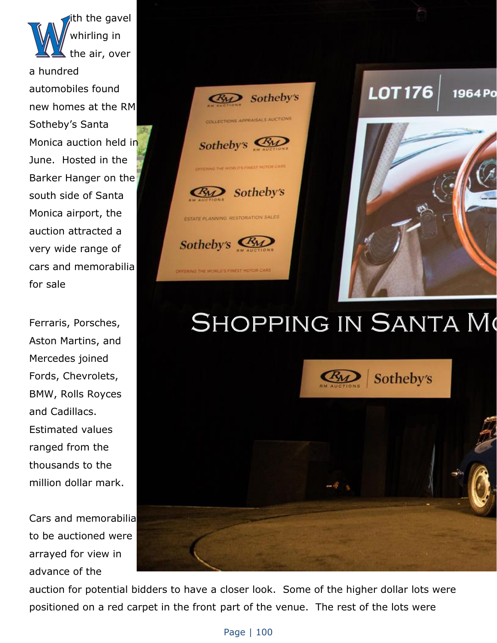ith the gavel whirling in the air, over a hundred automobiles found new homes at the RM Sotheby's Santa Monica auction held in June. Hosted in the Barker Hanger on the south side of Santa Monica airport, the auction attracted a very wide range of cars and memorabilia for sale

Ferraris, Porsches, Aston Martins, and Mercedes joined Fords, Chevrolets, BMW, Rolls Royces and Cadillacs. Estimated values ranged from the thousands to the million dollar mark.

Cars and memorabilia to be auctioned were arrayed for view in advance of the



## **SHOPPING IN SANTA MO**



auction for potential bidders to have a closer look. Some of the higher dollar lots were positioned on a red carpet in the front part of the venue. The rest of the lots were

## Page | 100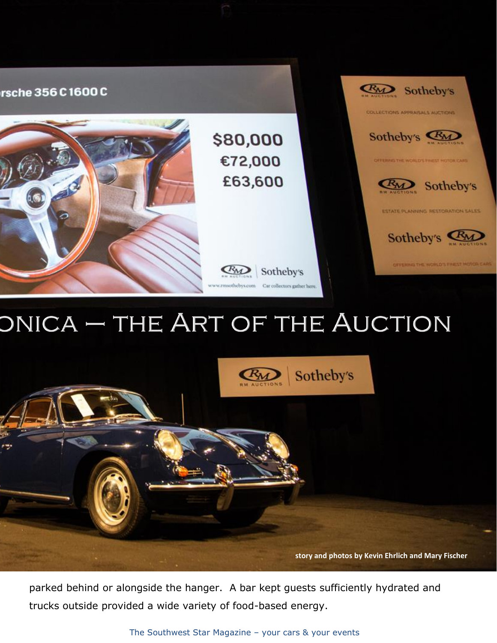

## ONICA - THE ART OF THE AUCTION



parked behind or alongside the hanger. A bar kept guests sufficiently hydrated and trucks outside provided a wide variety of food-based energy.

The Southwest Star Magazine – your cars & your events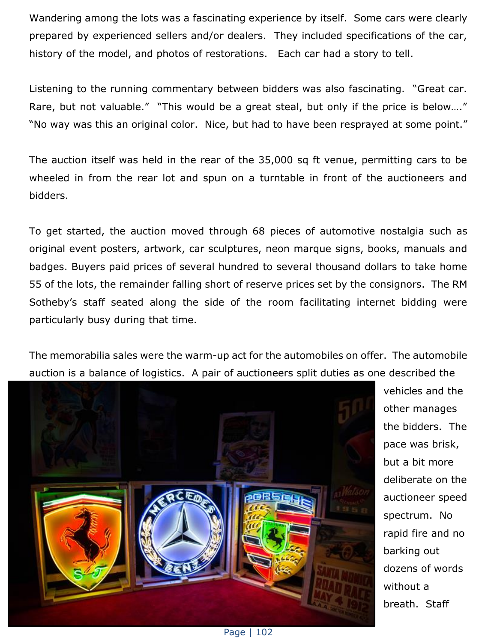Wandering among the lots was a fascinating experience by itself. Some cars were clearly prepared by experienced sellers and/or dealers. They included specifications of the car, history of the model, and photos of restorations. Each car had a story to tell.

Listening to the running commentary between bidders was also fascinating. "Great car. Rare, but not valuable." "This would be a great steal, but only if the price is below…." "No way was this an original color. Nice, but had to have been resprayed at some point."

The auction itself was held in the rear of the 35,000 sq ft venue, permitting cars to be wheeled in from the rear lot and spun on a turntable in front of the auctioneers and bidders.

To get started, the auction moved through 68 pieces of automotive nostalgia such as original event posters, artwork, car sculptures, neon marque signs, books, manuals and badges. Buyers paid prices of several hundred to several thousand dollars to take home 55 of the lots, the remainder falling short of reserve prices set by the consignors. The RM Sotheby's staff seated along the side of the room facilitating internet bidding were particularly busy during that time.

The memorabilia sales were the warm-up act for the automobiles on offer. The automobile auction is a balance of logistics. A pair of auctioneers split duties as one described the



vehicles and the other manages the bidders. The pace was brisk, but a bit more deliberate on the auctioneer speed spectrum. No rapid fire and no barking out dozens of words without a breath. Staff

Page | 102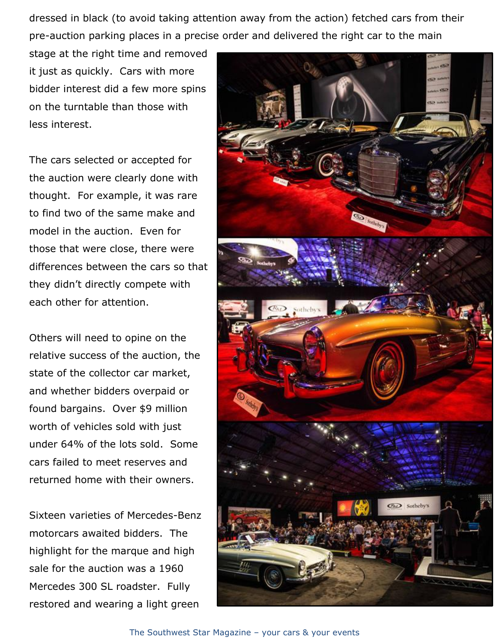dressed in black (to avoid taking attention away from the action) fetched cars from their pre-auction parking places in a precise order and delivered the right car to the main

stage at the right time and removed it just as quickly. Cars with more bidder interest did a few more spins on the turntable than those with less interest.

The cars selected or accepted for the auction were clearly done with thought. For example, it was rare to find two of the same make and model in the auction. Even for those that were close, there were differences between the cars so that they didn't directly compete with each other for attention.

Others will need to opine on the relative success of the auction, the state of the collector car market, and whether bidders overpaid or found bargains. Over \$9 million worth of vehicles sold with just under 64% of the lots sold. Some cars failed to meet reserves and returned home with their owners.

Sixteen varieties of Mercedes-Benz motorcars awaited bidders. The highlight for the marque and high sale for the auction was a 1960 Mercedes 300 SL roadster. Fully restored and wearing a light green

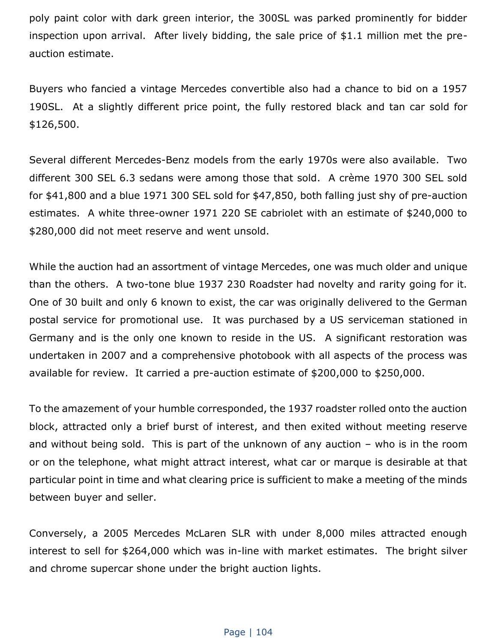poly paint color with dark green interior, the 300SL was parked prominently for bidder inspection upon arrival. After lively bidding, the sale price of \$1.1 million met the preauction estimate.

Buyers who fancied a vintage Mercedes convertible also had a chance to bid on a 1957 190SL. At a slightly different price point, the fully restored black and tan car sold for \$126,500.

Several different Mercedes-Benz models from the early 1970s were also available. Two different 300 SEL 6.3 sedans were among those that sold. A crème 1970 300 SEL sold for \$41,800 and a blue 1971 300 SEL sold for \$47,850, both falling just shy of pre-auction estimates. A white three-owner 1971 220 SE cabriolet with an estimate of \$240,000 to \$280,000 did not meet reserve and went unsold.

While the auction had an assortment of vintage Mercedes, one was much older and unique than the others. A two-tone blue 1937 230 Roadster had novelty and rarity going for it. One of 30 built and only 6 known to exist, the car was originally delivered to the German postal service for promotional use. It was purchased by a US serviceman stationed in Germany and is the only one known to reside in the US. A significant restoration was undertaken in 2007 and a comprehensive photobook with all aspects of the process was available for review. It carried a pre-auction estimate of \$200,000 to \$250,000.

To the amazement of your humble corresponded, the 1937 roadster rolled onto the auction block, attracted only a brief burst of interest, and then exited without meeting reserve and without being sold. This is part of the unknown of any auction – who is in the room or on the telephone, what might attract interest, what car or marque is desirable at that particular point in time and what clearing price is sufficient to make a meeting of the minds between buyer and seller.

Conversely, a 2005 Mercedes McLaren SLR with under 8,000 miles attracted enough interest to sell for \$264,000 which was in-line with market estimates. The bright silver and chrome supercar shone under the bright auction lights.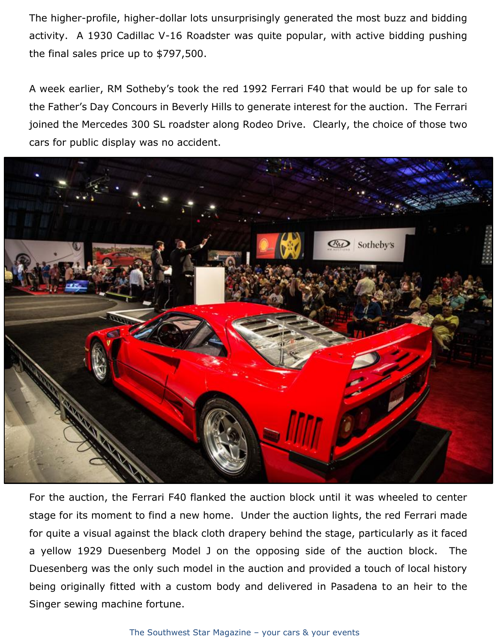The higher-profile, higher-dollar lots unsurprisingly generated the most buzz and bidding activity. A 1930 Cadillac V-16 Roadster was quite popular, with active bidding pushing the final sales price up to \$797,500.

A week earlier, RM Sotheby's took the red 1992 Ferrari F40 that would be up for sale to the Father's Day Concours in Beverly Hills to generate interest for the auction. The Ferrari joined the Mercedes 300 SL roadster along Rodeo Drive. Clearly, the choice of those two cars for public display was no accident.



For the auction, the Ferrari F40 flanked the auction block until it was wheeled to center stage for its moment to find a new home. Under the auction lights, the red Ferrari made for quite a visual against the black cloth drapery behind the stage, particularly as it faced a yellow 1929 Duesenberg Model J on the opposing side of the auction block. The Duesenberg was the only such model in the auction and provided a touch of local history being originally fitted with a custom body and delivered in Pasadena to an heir to the Singer sewing machine fortune.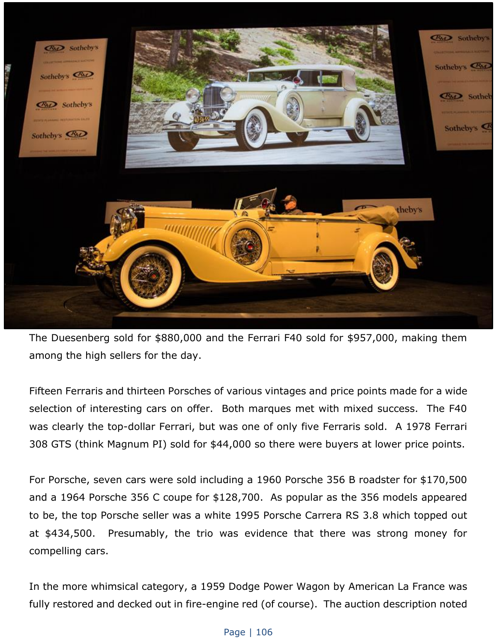

The Duesenberg sold for \$880,000 and the Ferrari F40 sold for \$957,000, making them among the high sellers for the day.

Fifteen Ferraris and thirteen Porsches of various vintages and price points made for a wide selection of interesting cars on offer. Both marques met with mixed success. The F40 was clearly the top-dollar Ferrari, but was one of only five Ferraris sold. A 1978 Ferrari 308 GTS (think Magnum PI) sold for \$44,000 so there were buyers at lower price points.

For Porsche, seven cars were sold including a 1960 Porsche 356 B roadster for \$170,500 and a 1964 Porsche 356 C coupe for \$128,700. As popular as the 356 models appeared to be, the top Porsche seller was a white 1995 Porsche Carrera RS 3.8 which topped out at \$434,500. Presumably, the trio was evidence that there was strong money for compelling cars.

In the more whimsical category, a 1959 Dodge Power Wagon by American La France was fully restored and decked out in fire-engine red (of course). The auction description noted

## Page | 106